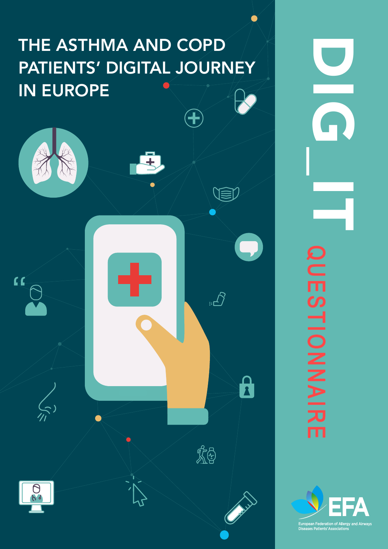# THE ASTHMA AND COPD PATIENTS' DIGITAL JOURNEY IN EUROPE

 $\mathcal{L}^{\mathcal{A}}$  . The asthma and  $\mathcal{L}^{\mathcal{A}}$  is asthma and  $\mathcal{L}^{\mathcal{A}}$  is a function in Europe 1 and CoPD patients in Europe 1

 $\bigoplus$ 

 $\pm$  $\bullet$ VED  $\mathbf{K}$  $\sum_{i=1}^{n}$  $\mathbf{a}$  $\left(\begin{smallmatrix} 1\\ 1\\ 1\end{smallmatrix}\right)$ 戏  $\Theta$ 

DIGD<sup>1</sup> **QUESTIONAIR** QUESTIONNAIREm

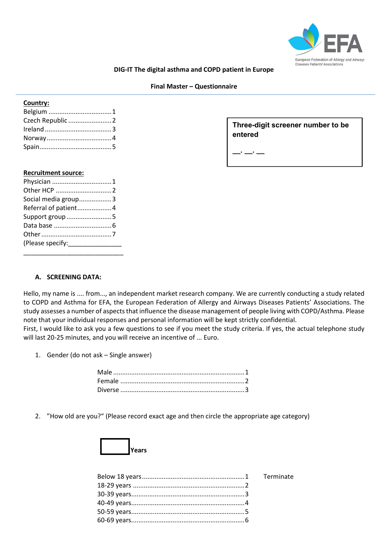

#### **DIG-IT The digital asthma and COPD patient in Europe**

#### **Final Master – Questionnaire**

# **Country:**

**Three-digit screener number to be entered** 

**\_\_. \_\_. \_\_**

#### **Recruitment source:**

| Physician 1          |  |
|----------------------|--|
|                      |  |
| Social media group3  |  |
| Referral of patient4 |  |
| Support group 5      |  |
|                      |  |
|                      |  |
|                      |  |
|                      |  |

## **A. SCREENING DATA:**

Hello, my name is .... from..., an independent market research company. We are currently conducting a study related to COPD and Asthma for EFA, the European Federation of Allergy and Airways Diseases Patients' Associations. The study assesses a number of aspects that influence the disease management of people living with COPD/Asthma. Please note that your individual responses and personal information will be kept strictly confidential.

First, I would like to ask you a few questions to see if you meet the study criteria. If yes, the actual telephone study will last 20-25 minutes, and you will receive an incentive of ... Euro.

1. Gender (do not ask – Single answer)

2. "How old are you?" (Please record exact age and then circle the appropriate age category)

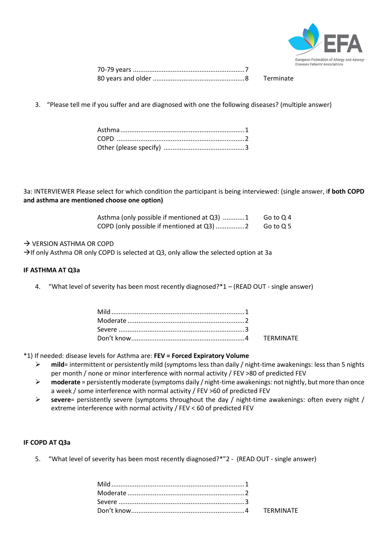

3. "Please tell me if you suffer and are diagnosed with one the following diseases? (multiple answer)

3a: INTERVIEWER Please select for which condition the participant is being interviewed: (single answer, i**f both COPD and asthma are mentioned choose one option)**

| Asthma (only possible if mentioned at Q3) 1 | Go to Q 4 |
|---------------------------------------------|-----------|
| COPD (only possible if mentioned at Q3) 2   | Go to Q 5 |

## $\rightarrow$  VERSION ASTHMA OR COPD

 $\rightarrow$  If only Asthma OR only COPD is selected at Q3, only allow the selected option at 3a

#### **IF ASTHMA AT Q3a**

4. "What level of severity has been most recently diagnosed?\*1 – (READ OUT - single answer)

\*1) If needed: disease levels for Asthma are: **FEV = Forced Expiratory Volume**

- **mild**= intermittent or persistently mild (symptoms less than daily / night-time awakenings: less than 5 nights per month / none or minor interference with normal activity / FEV >80 of predicted FEV
- **moderate** = persistently moderate (symptoms daily / night-time awakenings: not nightly, but more than once a week / some interference with normal activity / FEV >60 of predicted FEV
- **severe**= persistently severe (symptoms throughout the day / night-time awakenings: often every night / extreme interference with normal activity / FEV < 60 of predicted FEV

## **IF COPD AT Q3a**

5. "What level of severity has been most recently diagnosed?\*"2 - (READ OUT - single answer)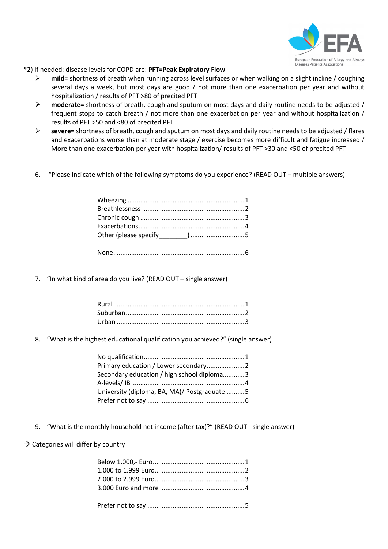

\*2) If needed: disease levels for COPD are: **PFT=Peak Expiratory Flow**

- **mild=** shortness of breath when running across level surfaces or when walking on a slight incline / coughing several days a week, but most days are good / not more than one exacerbation per year and without hospitalization / results of PFT >80 of precited PFT
- **moderate=** shortness of breath, cough and sputum on most days and daily routine needs to be adjusted / frequent stops to catch breath / not more than one exacerbation per year and without hospitalization / results of PFT >50 and <80 of precited PFT
- **severe=** shortness of breath, cough and sputum on most days and daily routine needs to be adjusted / flares and exacerbations worse than at moderate stage / exercise becomes more difficult and fatigue increased / More than one exacerbation per year with hospitalization/ results of PFT >30 and <50 of precited PFT
- 6. "Please indicate which of the following symptoms do you experience? (READ OUT multiple answers)

7. "In what kind of area do you live? (READ OUT – single answer)

8. "What is the highest educational qualification you achieved?" (single answer)

| Secondary education / high school diploma3   |  |
|----------------------------------------------|--|
|                                              |  |
| University (diploma, BA, MA)/ Postgraduate 5 |  |
|                                              |  |

- 9. "What is the monthly household net income (after tax)?" (READ OUT single answer)
- $\rightarrow$  Categories will differ by country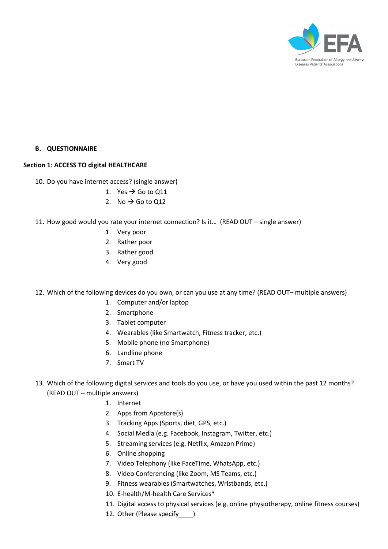

## **B. QUESTIONNAIRE**

## **Section 1: ACCESS TO digital HEALTHCARE**

- 10. Do you have internet access? (single answer)
	- 1. Yes  $\rightarrow$  Go to Q11
	- 2. No  $\rightarrow$  Go to Q12
- 11. How good would you rate your internet connection? Is it… (READ OUT single answer)
	- 1. Very poor
	- 2. Rather poor
	- 3. Rather good
	- 4. Very good
- 12. Which of the following devices do you own, or can you use at any time? (READ OUT– multiple answers)
	- 1. Computer and/or laptop
	- 2. Smartphone
	- 3. Tablet computer
	- 4. Wearables (like Smartwatch, Fitness tracker, etc.)
	- 5. Mobile phone (no Smartphone)
	- 6. Landline phone
	- 7. Smart TV
- 13. Which of the following digital services and tools do you use, or have you used within the past 12 months? (READ OUT – multiple answers)
	- 1. Internet
	- 2. Apps from Appstore(s)
	- 3. Tracking Apps (Sports, diet, GPS, etc.)
	- 4. Social Media (e.g. Facebook, Instagram, Twitter, etc.)
	- 5. Streaming services (e.g. Netflix, Amazon Prime)
	- 6. Online shopping
	- 7. Video Telephony (like FaceTime, WhatsApp, etc.)
	- 8. Video Conferencing (like Zoom, MS Teams, etc.)
	- 9. Fitness wearables (Smartwatches, Wristbands, etc.)
	- 10. E-health/M-health Care Services\*
	- 11. Digital access to physical services (e.g. online physiotherapy, online fitness courses)
	- 12. Other (Please specify )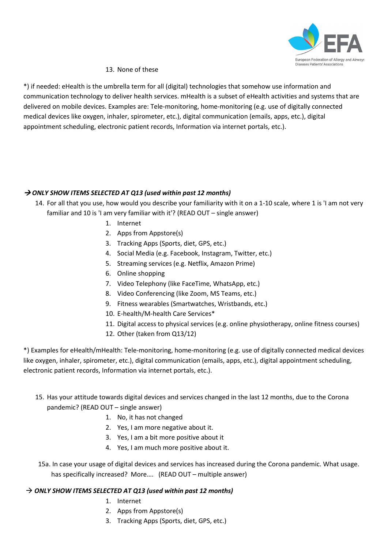

# 13. None of these

\*) if needed: eHealth is the umbrella term for all (digital) technologies that somehow use information and communication technology to deliver health services. mHealth is a subset of eHealth activities and systems that are delivered on mobile devices. Examples are: Tele-monitoring, home-monitoring (e.g. use of digitally connected medical devices like oxygen, inhaler, spirometer, etc.), digital communication (emails, apps, etc.), digital appointment scheduling, electronic patient records, Information via internet portals, etc.).

# → ONLY SHOW ITEMS SELECTED AT Q13 (used within past 12 months)

- 14. For all that you use, how would you describe your familiarity with it on a 1-10 scale, where 1 is 'I am not very familiar and 10 is 'I am very familiar with it'? (READ OUT – single answer)
	- 1. Internet
	- 2. Apps from Appstore(s)
	- 3. Tracking Apps (Sports, diet, GPS, etc.)
	- 4. Social Media (e.g. Facebook, Instagram, Twitter, etc.)
	- 5. Streaming services (e.g. Netflix, Amazon Prime)
	- 6. Online shopping
	- 7. Video Telephony (like FaceTime, WhatsApp, etc.)
	- 8. Video Conferencing (like Zoom, MS Teams, etc.)
	- 9. Fitness wearables (Smartwatches, Wristbands, etc.)
	- 10. E-health/M-health Care Services\*
	- 11. Digital access to physical services (e.g. online physiotherapy, online fitness courses)
	- 12. Other (taken from Q13/12)

\*) Examples for eHealth/mHealth: Tele-monitoring, home-monitoring (e.g. use of digitally connected medical devices like oxygen, inhaler, spirometer, etc.), digital communication (emails, apps, etc.), digital appointment scheduling, electronic patient records, Information via internet portals, etc.).

# 15. Has your attitude towards digital devices and services changed in the last 12 months, due to the Corona pandemic? (READ OUT – single answer)

- 1. No, it has not changed
- 2. Yes, I am more negative about it.
- 3. Yes, I am a bit more positive about it
- 4. Yes, I am much more positive about it.

 15a. In case your usage of digital devices and services has increased during the Corona pandemic. What usage. has specifically increased? More.... (READ OUT – multiple answer)

# → ONLY SHOW ITEMS SELECTED AT Q13 (used within past 12 months)

- 1. Internet
- 2. Apps from Appstore(s)
- 3. Tracking Apps (Sports, diet, GPS, etc.)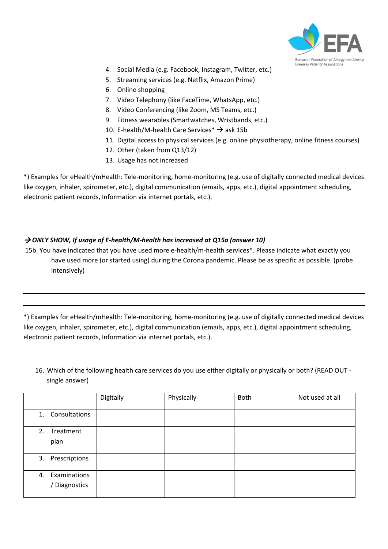

- 4. Social Media (e.g. Facebook, Instagram, Twitter, etc.)
- 5. Streaming services (e.g. Netflix, Amazon Prime)
- 6. Online shopping
- 7. Video Telephony (like FaceTime, WhatsApp, etc.)
- 8. Video Conferencing (like Zoom, MS Teams, etc.)
- 9. Fitness wearables (Smartwatches, Wristbands, etc.)
- 10. E-health/M-health Care Services\*  $\rightarrow$  ask 15b
- 11. Digital access to physical services (e.g. online physiotherapy, online fitness courses)
- 12. Other (taken from Q13/12)
- 13. Usage has not increased

\*) Examples for eHealth/mHealth: Tele-monitoring, home-monitoring (e.g. use of digitally connected medical devices like oxygen, inhaler, spirometer, etc.), digital communication (emails, apps, etc.), digital appointment scheduling, electronic patient records, Information via internet portals, etc.).

# → ONLY SHOW, If usage of E-health/M-health has increased at Q15a (answer 10)

15b. You have indicated that you have used more e-health/m-health services\*. Please indicate what exactly you have used more (or started using) during the Corona pandemic. Please be as specific as possible. (probe intensively)

\*) Examples for eHealth/mHealth: Tele-monitoring, home-monitoring (e.g. use of digitally connected medical devices like oxygen, inhaler, spirometer, etc.), digital communication (emails, apps, etc.), digital appointment scheduling, electronic patient records, Information via internet portals, etc.).

16. Which of the following health care services do you use either digitally or physically or both? (READ OUT single answer)

|                                  | Digitally | Physically | Both | Not used at all |
|----------------------------------|-----------|------------|------|-----------------|
| 1. Consultations                 |           |            |      |                 |
| 2. Treatment<br>plan             |           |            |      |                 |
| 3. Prescriptions                 |           |            |      |                 |
| 4. Examinations<br>/ Diagnostics |           |            |      |                 |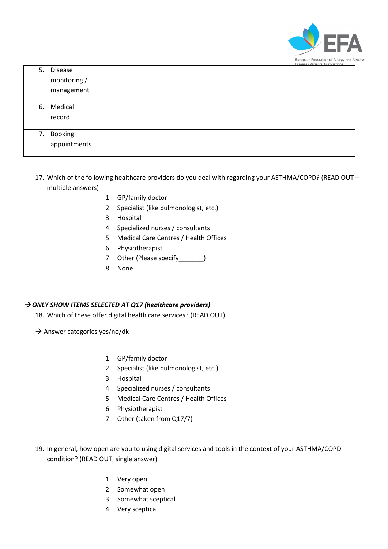

|    |                                |  | Diseases Patients Associations |
|----|--------------------------------|--|--------------------------------|
| 5. | <b>Disease</b><br>monitoring / |  |                                |
|    | management                     |  |                                |
|    |                                |  |                                |
|    | 6. Medical                     |  |                                |
|    | record                         |  |                                |
|    |                                |  |                                |
| 7. | Booking                        |  |                                |
|    | appointments                   |  |                                |
|    |                                |  |                                |

- 17. Which of the following healthcare providers do you deal with regarding your ASTHMA/COPD? (READ OUT multiple answers)
	- 1. GP/family doctor
	- 2. Specialist (like pulmonologist, etc.)
	- 3. Hospital
	- 4. Specialized nurses / consultants
	- 5. Medical Care Centres / Health Offices
	- 6. Physiotherapist
	- 7. Other (Please specify\_\_\_\_\_\_\_)
	- 8. None

# → ONLY SHOW ITEMS SELECTED AT Q17 (healthcare providers)

- 18. Which of these offer digital health care services? (READ OUT)
- $\rightarrow$  Answer categories yes/no/dk
	- 1. GP/family doctor
	- 2. Specialist (like pulmonologist, etc.)
	- 3. Hospital
	- 4. Specialized nurses / consultants
	- 5. Medical Care Centres / Health Offices
	- 6. Physiotherapist
	- 7. Other (taken from Q17/7)
- 19. In general, how open are you to using digital services and tools in the context of your ASTHMA/COPD condition? (READ OUT, single answer)
	- 1. Very open
	- 2. Somewhat open
	- 3. Somewhat sceptical
	- 4. Very sceptical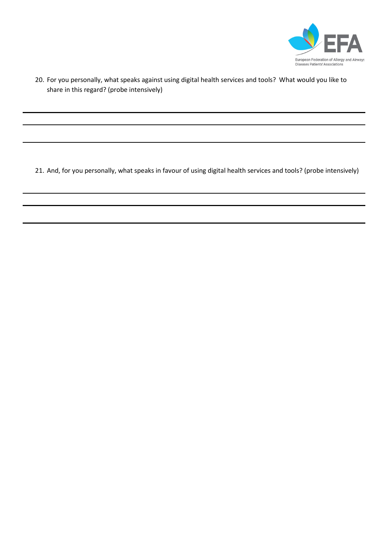

20. For you personally, what speaks against using digital health services and tools? What would you like to share in this regard? (probe intensively)

21. And, for you personally, what speaks in favour of using digital health services and tools? (probe intensively)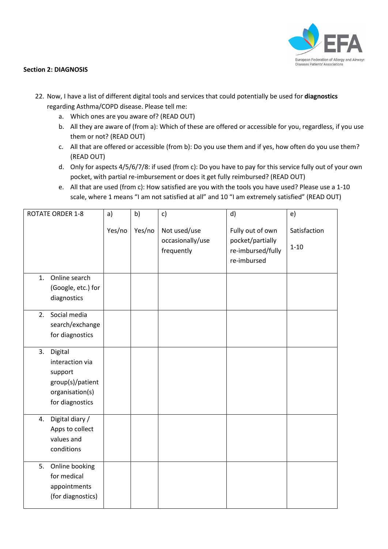

## **Section 2: DIAGNOSIS**

- 22. Now, I have a list of different digital tools and services that could potentially be used for **diagnostics**  regarding Asthma/COPD disease. Please tell me:
	- a. Which ones are you aware of? (READ OUT)
	- b. All they are aware of (from a): Which of these are offered or accessible for you, regardless, if you use them or not? (READ OUT)
	- c. All that are offered or accessible (from b): Do you use them and if yes, how often do you use them? (READ OUT)
	- d. Only for aspects 4/5/6/7/8: if used (from c): Do you have to pay for this service fully out of your own pocket, with partial re-imbursement or does it get fully reimbursed? (READ OUT)
	- e. All that are used (from c): How satisfied are you with the tools you have used? Please use a 1-10 scale, where 1 means "I am not satisfied at all" and 10 "I am extremely satisfied" (READ OUT)

| <b>ROTATE ORDER 1-8</b> | a)     | b)     | c)                             | d)                                                   | e)           |
|-------------------------|--------|--------|--------------------------------|------------------------------------------------------|--------------|
|                         | Yes/no | Yes/no | Not used/use                   | Fully out of own                                     | Satisfaction |
|                         |        |        | occasionally/use<br>frequently | pocket/partially<br>re-imbursed/fully<br>re-imbursed | $1 - 10$     |
|                         |        |        |                                |                                                      |              |
| Online search<br>1.     |        |        |                                |                                                      |              |
| (Google, etc.) for      |        |        |                                |                                                      |              |
| diagnostics             |        |        |                                |                                                      |              |
| Social media<br>2.      |        |        |                                |                                                      |              |
| search/exchange         |        |        |                                |                                                      |              |
| for diagnostics         |        |        |                                |                                                      |              |
| Digital<br>3.           |        |        |                                |                                                      |              |
| interaction via         |        |        |                                |                                                      |              |
| support                 |        |        |                                |                                                      |              |
| group(s)/patient        |        |        |                                |                                                      |              |
| organisation(s)         |        |        |                                |                                                      |              |
| for diagnostics         |        |        |                                |                                                      |              |
| Digital diary /<br>4.   |        |        |                                |                                                      |              |
| Apps to collect         |        |        |                                |                                                      |              |
| values and              |        |        |                                |                                                      |              |
| conditions              |        |        |                                |                                                      |              |
| Online booking<br>5.    |        |        |                                |                                                      |              |
| for medical             |        |        |                                |                                                      |              |
| appointments            |        |        |                                |                                                      |              |
| (for diagnostics)       |        |        |                                |                                                      |              |
|                         |        |        |                                |                                                      |              |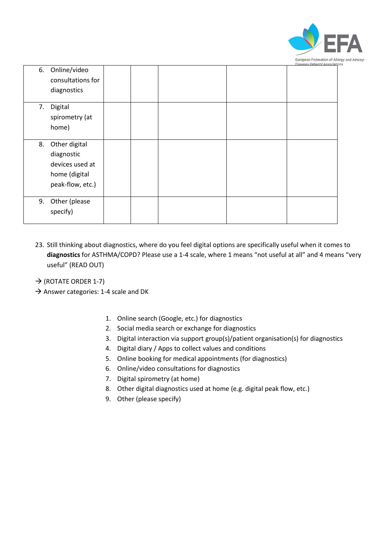

| 6. | Online/video<br>consultations for<br>diagnostics                                    |  |  |  |
|----|-------------------------------------------------------------------------------------|--|--|--|
| 7. | Digital<br>spirometry (at<br>home)                                                  |  |  |  |
| 8. | Other digital<br>diagnostic<br>devices used at<br>home (digital<br>peak-flow, etc.) |  |  |  |
| 9. | Other (please<br>specify)                                                           |  |  |  |

- 23. Still thinking about diagnostics, where do you feel digital options are specifically useful when it comes to **diagnostics** for ASTHMA/COPD? Please use a 1-4 scale, where 1 means "not useful at all" and 4 means "very useful" (READ OUT)
- $\rightarrow$  (ROTATE ORDER 1-7)
- $\rightarrow$  Answer categories: 1-4 scale and DK
	- 1. Online search (Google, etc.) for diagnostics
	- 2. Social media search or exchange for diagnostics
	- 3. Digital interaction via support group(s)/patient organisation(s) for diagnostics
	- 4. Digital diary / Apps to collect values and conditions
	- 5. Online booking for medical appointments (for diagnostics)
	- 6. Online/video consultations for diagnostics
	- 7. Digital spirometry (at home)
	- 8. Other digital diagnostics used at home (e.g. digital peak flow, etc.)
	- 9. Other (please specify)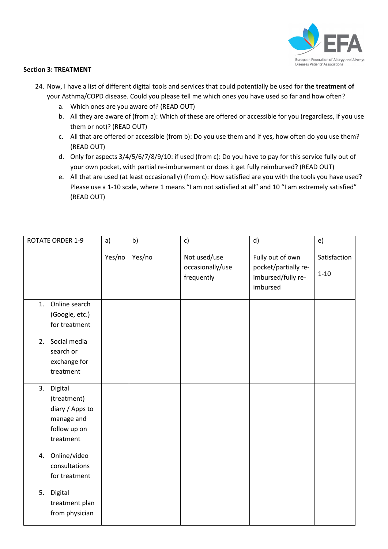

## **Section 3: TREATMENT**

- 24. Now, I have a list of different digital tools and services that could potentially be used for **the treatment of**  your Asthma/COPD disease. Could you please tell me which ones you have used so far and how often?
	- a. Which ones are you aware of? (READ OUT)
	- b. All they are aware of (from a): Which of these are offered or accessible for you (regardless, if you use them or not)? (READ OUT)
	- c. All that are offered or accessible (from b): Do you use them and if yes, how often do you use them? (READ OUT)
	- d. Only for aspects 3/4/5/6/7/8/9/10: if used (from c): Do you have to pay for this service fully out of your own pocket, with partial re-imbursement or does it get fully reimbursed? (READ OUT)
	- e. All that are used (at least occasionally) (from c): How satisfied are you with the tools you have used? Please use a 1-10 scale, where 1 means "I am not satisfied at all" and 10 "I am extremely satisfied" (READ OUT)

| <b>ROTATE ORDER 1-9</b> |                                                                           | a)     | b)     | c)                                             | d)                                                                         | e)                       |
|-------------------------|---------------------------------------------------------------------------|--------|--------|------------------------------------------------|----------------------------------------------------------------------------|--------------------------|
|                         |                                                                           | Yes/no | Yes/no | Not used/use<br>occasionally/use<br>frequently | Fully out of own<br>pocket/partially re-<br>imbursed/fully re-<br>imbursed | Satisfaction<br>$1 - 10$ |
| 1.                      | Online search<br>(Google, etc.)<br>for treatment                          |        |        |                                                |                                                                            |                          |
| 2.                      | Social media<br>search or<br>exchange for<br>treatment                    |        |        |                                                |                                                                            |                          |
| 3. Digital              | (treatment)<br>diary / Apps to<br>manage and<br>follow up on<br>treatment |        |        |                                                |                                                                            |                          |
| 4.                      | Online/video<br>consultations<br>for treatment                            |        |        |                                                |                                                                            |                          |
| 5.<br>Digital           | treatment plan<br>from physician                                          |        |        |                                                |                                                                            |                          |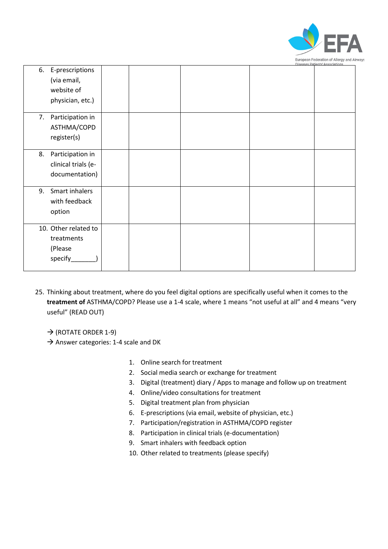

|                                                                     |  | <u>Diseases Patients' Associations</u> |
|---------------------------------------------------------------------|--|----------------------------------------|
| 6. E-prescriptions<br>(via email,<br>website of<br>physician, etc.) |  |                                        |
| 7. Participation in<br>ASTHMA/COPD<br>register(s)                   |  |                                        |
| Participation in<br>8.<br>clinical trials (e-<br>documentation)     |  |                                        |
| Smart inhalers<br>9.<br>with feedback<br>option                     |  |                                        |
| 10. Other related to<br>treatments<br>(Please<br>specify            |  |                                        |

- 25. Thinking about treatment, where do you feel digital options are specifically useful when it comes to the **treatment of** ASTHMA/COPD? Please use a 1-4 scale, where 1 means "not useful at all" and 4 means "very useful" (READ OUT)
	- $\rightarrow$  (ROTATE ORDER 1-9)
	- $\rightarrow$  Answer categories: 1-4 scale and DK
		- 1. Online search for treatment
		- 2. Social media search or exchange for treatment
		- 3. Digital (treatment) diary / Apps to manage and follow up on treatment
		- 4. Online/video consultations for treatment
		- 5. Digital treatment plan from physician
		- 6. E-prescriptions (via email, website of physician, etc.)
		- 7. Participation/registration in ASTHMA/COPD register
		- 8. Participation in clinical trials (e-documentation)
		- 9. Smart inhalers with feedback option
		- 10. Other related to treatments (please specify)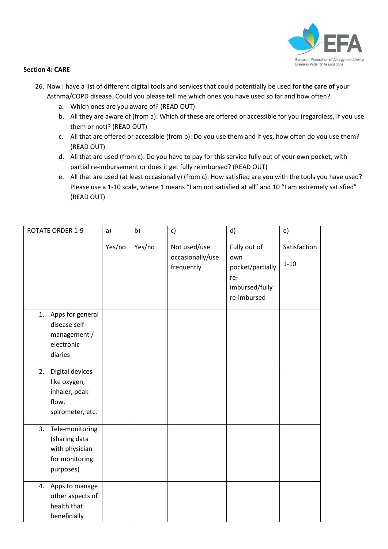

## **Section 4: CARE**

- 26. Now I have a list of different digital tools and services that could potentially be used for **the care of** your Asthma/COPD disease. Could you please tell me which ones you have used so far and how often?
	- a. Which ones are you aware of? (READ OUT)
	- b. All they are aware of (from a): Which of these are offered or accessible for you (regardless, if you use them or not)? (READ OUT)
	- c. All that are offered or accessible (from b): Do you use them and if yes, how often do you use them? (READ OUT)
	- d. All that are used (from c): Do you have to pay for this service fully out of your own pocket, with partial re-imbursement or does it get fully reimbursed? (READ OUT)
	- e. All that are used (at least occasionally) (from c): How satisfied are you with the tools you have used? Please use a 1-10 scale, where 1 means "I am not satisfied at all" and 10 "I am extremely satisfied" (READ OUT)

| <b>ROTATE ORDER 1-9</b>                                                                 | a)     | b)     | c)                                             | d)                                                                              | e)                       |
|-----------------------------------------------------------------------------------------|--------|--------|------------------------------------------------|---------------------------------------------------------------------------------|--------------------------|
|                                                                                         | Yes/no | Yes/no | Not used/use<br>occasionally/use<br>frequently | Fully out of<br>own<br>pocket/partially<br>re-<br>imbursed/fully<br>re-imbursed | Satisfaction<br>$1 - 10$ |
| Apps for general<br>1.<br>disease self-<br>management /<br>electronic<br>diaries        |        |        |                                                |                                                                                 |                          |
| Digital devices<br>2.<br>like oxygen,<br>inhaler, peak-<br>flow,<br>spirometer, etc.    |        |        |                                                |                                                                                 |                          |
| Tele-monitoring<br>3.<br>(sharing data<br>with physician<br>for monitoring<br>purposes) |        |        |                                                |                                                                                 |                          |
| Apps to manage<br>4.<br>other aspects of<br>health that<br>beneficially                 |        |        |                                                |                                                                                 |                          |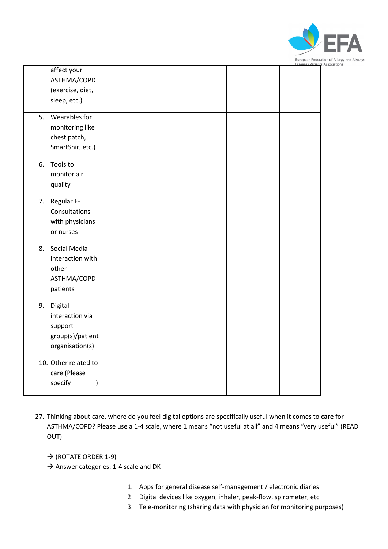

|    | affect your<br>ASTHMA/COPD<br>(exercise, diet,<br>sleep, etc.)               |  |  |  |
|----|------------------------------------------------------------------------------|--|--|--|
| 5. | Wearables for<br>monitoring like<br>chest patch,<br>SmartShir, etc.)         |  |  |  |
| 6. | Tools to<br>monitor air<br>quality                                           |  |  |  |
| 7. | Regular E-<br>Consultations<br>with physicians<br>or nurses                  |  |  |  |
| 8. | Social Media<br>interaction with<br>other<br>ASTHMA/COPD<br>patients         |  |  |  |
| 9. | Digital<br>interaction via<br>support<br>group(s)/patient<br>organisation(s) |  |  |  |
|    | 10. Other related to<br>care (Please                                         |  |  |  |

- 27. Thinking about care, where do you feel digital options are specifically useful when it comes to **care** for ASTHMA/COPD? Please use a 1-4 scale, where 1 means "not useful at all" and 4 means "very useful" (READ OUT)
	- $\rightarrow$  (ROTATE ORDER 1-9)
	- $\rightarrow$  Answer categories: 1-4 scale and DK
		- 1. Apps for general disease self-management / electronic diaries
		- 2. Digital devices like oxygen, inhaler, peak-flow, spirometer, etc
		- 3. Tele-monitoring (sharing data with physician for monitoring purposes)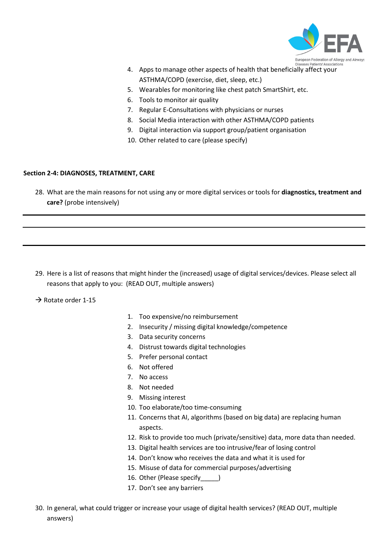

- 4. Apps to manage other aspects of health that beneficially affect your ASTHMA/COPD (exercise, diet, sleep, etc.)
- 5. Wearables for monitoring like chest patch SmartShirt, etc.
- 6. Tools to monitor air quality
- 7. Regular E-Consultations with physicians or nurses
- 8. Social Media interaction with other ASTHMA/COPD patients
- 9. Digital interaction via support group/patient organisation
- 10. Other related to care (please specify)

# **Section 2-4: DIAGNOSES, TREATMENT, CARE**

28. What are the main reasons for not using any or more digital services or tools for **diagnostics, treatment and care?** (probe intensively)

29. Here is a list of reasons that might hinder the (increased) usage of digital services/devices. Please select all reasons that apply to you: (READ OUT, multiple answers)

 $\rightarrow$  Rotate order 1-15

- 1. Too expensive/no reimbursement
- 2. Insecurity / missing digital knowledge/competence
- 3. Data security concerns
- 4. Distrust towards digital technologies
- 5. Prefer personal contact
- 6. Not offered
- 7. No access
- 8. Not needed
- 9. Missing interest
- 10. Too elaborate/too time-consuming
- 11. Concerns that AI, algorithms (based on big data) are replacing human aspects.
- 12. Risk to provide too much (private/sensitive) data, more data than needed.
- 13. Digital health services are too intrusive/fear of losing control
- 14. Don't know who receives the data and what it is used for
- 15. Misuse of data for commercial purposes/advertising
- 16. Other (Please specify )
- 17. Don't see any barriers
- 30. In general, what could trigger or increase your usage of digital health services? (READ OUT, multiple answers)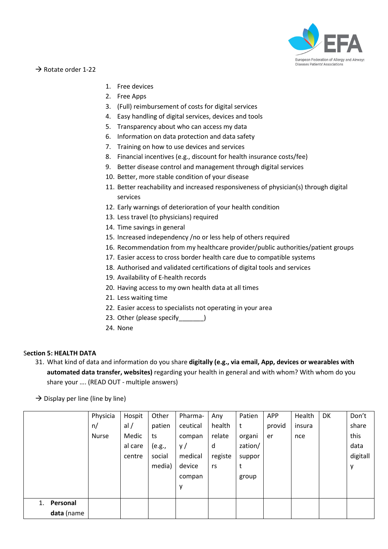

 $\rightarrow$  Rotate order 1-22

- 1. Free devices
- 2. Free Apps
- 3. (Full) reimbursement of costs for digital services
- 4. Easy handling of digital services, devices and tools
- 5. Transparency about who can access my data
- 6. Information on data protection and data safety
- 7. Training on how to use devices and services
- 8. Financial incentives (e.g., discount for health insurance costs/fee)
- 9. Better disease control and management through digital services
- 10. Better, more stable condition of your disease
- 11. Better reachability and increased responsiveness of physician(s) through digital services
- 12. Early warnings of deterioration of your health condition
- 13. Less travel (to physicians) required
- 14. Time savings in general
- 15. Increased independency /no or less help of others required
- 16. Recommendation from my healthcare provider/public authorities/patient groups
- 17. Easier access to cross border health care due to compatible systems
- 18. Authorised and validated certifications of digital tools and services
- 19. Availability of E-health records
- 20. Having access to my own health data at all times
- 21. Less waiting time
- 22. Easier access to specialists not operating in your area
- 23. Other (please specify [100]
- 24. None

## S**ection 5: HEALTH DATA**

31. What kind of data and information do you share **digitally (e.g., via email, App, devices or wearables with automated data transfer, websites)** regarding your health in general and with whom? With whom do you share your …. (READ OUT - multiple answers)

 $\rightarrow$  Display per line (line by line)

|                | Physicia     | Hospit  | Other  | Pharma-  | Any     | Patien  | <b>APP</b> | Health | DK | Don't    |
|----------------|--------------|---------|--------|----------|---------|---------|------------|--------|----|----------|
|                | n/           | al/     | patien | ceutical | health  | t       | provid     | insura |    | share    |
|                | <b>Nurse</b> | Medic   | ts     | compan   | relate  | organi  | er         | nce    |    | this     |
|                |              | al care | (e.g., | y/       | d       | zation/ |            |        |    | data     |
|                |              | centre  | social | medical  | registe | suppor  |            |        |    | digitall |
|                |              |         | media) | device   | rs      |         |            |        |    | у        |
|                |              |         |        | compan   |         | group   |            |        |    |          |
|                |              |         |        | у        |         |         |            |        |    |          |
|                |              |         |        |          |         |         |            |        |    |          |
| Personal<br>1. |              |         |        |          |         |         |            |        |    |          |
| data (name     |              |         |        |          |         |         |            |        |    |          |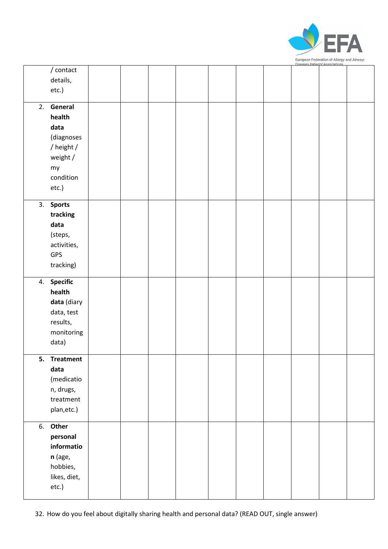

|    |                  |  |  |  | ilseases Patients' Association |  |
|----|------------------|--|--|--|--------------------------------|--|
|    | $/$ contact      |  |  |  |                                |  |
|    | details,         |  |  |  |                                |  |
|    | etc.)            |  |  |  |                                |  |
|    |                  |  |  |  |                                |  |
|    | 2. General       |  |  |  |                                |  |
|    | health           |  |  |  |                                |  |
|    | data             |  |  |  |                                |  |
|    | (diagnoses       |  |  |  |                                |  |
|    | / height /       |  |  |  |                                |  |
|    | weight /         |  |  |  |                                |  |
|    | my               |  |  |  |                                |  |
|    | condition        |  |  |  |                                |  |
|    | etc.)            |  |  |  |                                |  |
|    |                  |  |  |  |                                |  |
|    | 3. Sports        |  |  |  |                                |  |
|    | tracking         |  |  |  |                                |  |
|    | data             |  |  |  |                                |  |
|    | (steps,          |  |  |  |                                |  |
|    | activities,      |  |  |  |                                |  |
|    | GPS              |  |  |  |                                |  |
|    |                  |  |  |  |                                |  |
|    | tracking)        |  |  |  |                                |  |
|    | 4. Specific      |  |  |  |                                |  |
|    | health           |  |  |  |                                |  |
|    | data (diary      |  |  |  |                                |  |
|    | data, test       |  |  |  |                                |  |
|    |                  |  |  |  |                                |  |
|    | results,         |  |  |  |                                |  |
|    | monitoring       |  |  |  |                                |  |
|    | data)            |  |  |  |                                |  |
| 5. | <b>Treatment</b> |  |  |  |                                |  |
|    | data             |  |  |  |                                |  |
|    | (medicatio       |  |  |  |                                |  |
|    | n, drugs,        |  |  |  |                                |  |
|    | treatment        |  |  |  |                                |  |
|    | plan, etc.)      |  |  |  |                                |  |
|    |                  |  |  |  |                                |  |
|    | 6. Other         |  |  |  |                                |  |
|    | personal         |  |  |  |                                |  |
|    | informatio       |  |  |  |                                |  |
|    | n (age,          |  |  |  |                                |  |
|    | hobbies,         |  |  |  |                                |  |
|    | likes, diet,     |  |  |  |                                |  |
|    | etc.)            |  |  |  |                                |  |
|    |                  |  |  |  |                                |  |

32. How do you feel about digitally sharing health and personal data? (READ OUT, single answer)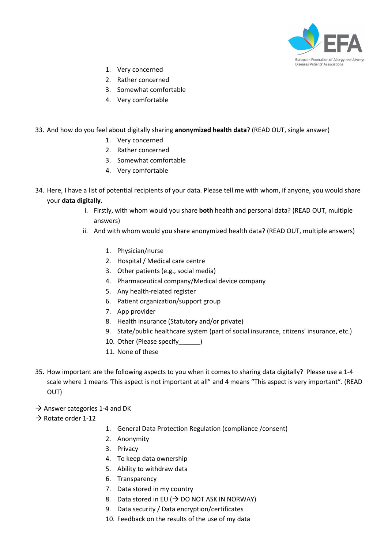

- 1. Very concerned
- 2. Rather concerned
- 3. Somewhat comfortable
- 4. Very comfortable

# 33. And how do you feel about digitally sharing **anonymized health data**? (READ OUT, single answer)

- 1. Very concerned
- 2. Rather concerned
- 3. Somewhat comfortable
- 4. Very comfortable
- 34. Here, I have a list of potential recipients of your data. Please tell me with whom, if anyone, you would share your **data digitally**.
	- i. Firstly, with whom would you share **both** health and personal data? (READ OUT, multiple answers)
	- ii. And with whom would you share anonymized health data? (READ OUT, multiple answers)
		- 1. Physician/nurse
		- 2. Hospital / Medical care centre
		- 3. Other patients (e.g., social media)
		- 4. Pharmaceutical company/Medical device company
		- 5. Any health-related register
		- 6. Patient organization/support group
		- 7. App provider
		- 8. Health insurance (Statutory and/or private)
		- 9. State/public healthcare system (part of social insurance, citizens' insurance, etc.)
		- 10. Other (Please specify )
		- 11. None of these
- 35. How important are the following aspects to you when it comes to sharing data digitally? Please use a 1-4 scale where 1 means 'This aspect is not important at all" and 4 means "This aspect is very important". (READ OUT)
- $\rightarrow$  Answer categories 1-4 and DK
- $\rightarrow$  Rotate order 1-12
- 1. General Data Protection Regulation (compliance /consent)
- 2. Anonymity
- 3. Privacy
- 4. To keep data ownership
- 5. Ability to withdraw data
- 6. Transparency
- 7. Data stored in my country
- 8. Data stored in EU ( $\rightarrow$  DO NOT ASK IN NORWAY)
- 9. Data security / Data encryption/certificates
- 10. Feedback on the results of the use of my data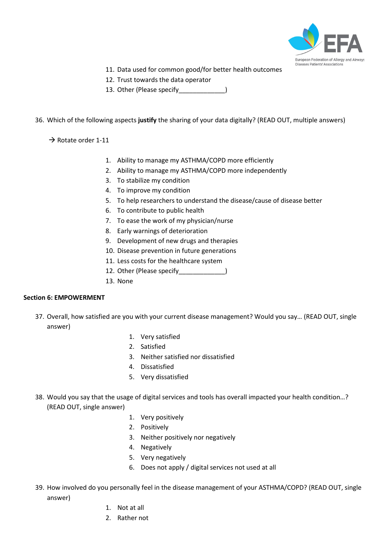

- 11. Data used for common good/for better health outcomes
- 12. Trust towards the data operator
- 13. Other (Please specify [13. Other (Please specify

## 36. Which of the following aspects **justify** the sharing of your data digitally? (READ OUT, multiple answers)

 $\rightarrow$  Rotate order 1-11

- 1. Ability to manage my ASTHMA/COPD more efficiently
- 2. Ability to manage my ASTHMA/COPD more independently
- 3. To stabilize my condition
- 4. To improve my condition
- 5. To help researchers to understand the disease/cause of disease better
- 6. To contribute to public health
- 7. To ease the work of my physician/nurse
- 8. Early warnings of deterioration
- 9. Development of new drugs and therapies
- 10. Disease prevention in future generations
- 11. Less costs for the healthcare system
- 12. Other (Please specify [100]
- 13. None

## **Section 6: EMPOWERMENT**

- 37. Overall, how satisfied are you with your current disease management? Would you say… (READ OUT, single answer)
	- 1. Very satisfied
	- 2. Satisfied
	- 3. Neither satisfied nor dissatisfied
	- 4. Dissatisfied
	- 5. Very dissatisfied
- 38. Would you say that the usage of digital services and tools has overall impacted your health condition…? (READ OUT, single answer)
	- 1. Very positively
	- 2. Positively
	- 3. Neither positively nor negatively
	- 4. Negatively
	- 5. Very negatively
	- 6. Does not apply / digital services not used at all
- 39. How involved do you personally feel in the disease management of your ASTHMA/COPD? (READ OUT, single answer)
	- 1. Not at all
	- 2. Rather not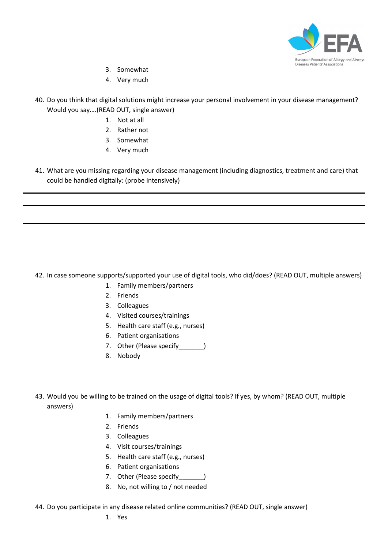

- 3. Somewhat
- 4. Very much
- 40. Do you think that digital solutions might increase your personal involvement in your disease management? Would you say….(READ OUT, single answer)
	- 1. Not at all
	- 2. Rather not
	- 3. Somewhat
	- 4. Very much
- 41. What are you missing regarding your disease management (including diagnostics, treatment and care) that could be handled digitally: (probe intensively)

42. In case someone supports/supported your use of digital tools, who did/does? (READ OUT, multiple answers)

- 1. Family members/partners
- 2. Friends
- 3. Colleagues
- 4. Visited courses/trainings
- 5. Health care staff (e.g., nurses)
- 6. Patient organisations
- 7. Other (Please specify )
- 8. Nobody
- 43. Would you be willing to be trained on the usage of digital tools? If yes, by whom? (READ OUT, multiple answers)
	- 1. Family members/partners
	- 2. Friends
	- 3. Colleagues
	- 4. Visit courses/trainings
	- 5. Health care staff (e.g., nurses)
	- 6. Patient organisations
	- 7. Other (Please specify )
	- 8. No, not willing to / not needed
- 44. Do you participate in any disease related online communities? (READ OUT, single answer)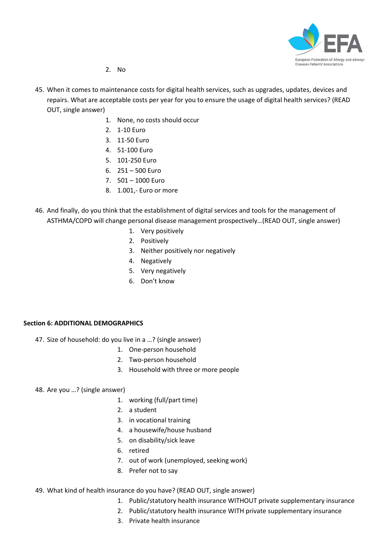

- 2. No
- 45. When it comes to maintenance costs for digital health services, such as upgrades, updates, devices and repairs. What are acceptable costs per year for you to ensure the usage of digital health services? (READ OUT, single answer)
	- 1. None, no costs should occur
	- 2. 1-10 Euro
	- 3. 11-50 Euro
	- 4. 51-100 Euro
	- 5. 101-250 Euro
	- 6. 251 500 Euro
	- 7. 501 1000 Euro
	- 8. 1.001,- Euro or more
- 46. And finally, do you think that the establishment of digital services and tools for the management of ASTHMA/COPD will change personal disease management prospectively…(READ OUT, single answer)
	- 1. Very positively
	- 2. Positively
	- 3. Neither positively nor negatively
	- 4. Negatively
	- 5. Very negatively
	- 6. Don't know

## **Section 6: ADDITIONAL DEMOGRAPHICS**

- 47. Size of household: do you live in a …? (single answer)
	- 1. One-person household
	- 2. Two-person household
	- 3. Household with three or more people
- 48. Are you …? (single answer)
	- 1. working (full/part time)
	- 2. a student
	- 3. in vocational training
	- 4. a housewife/house husband
	- 5. on disability/sick leave
	- 6. retired
	- 7. out of work (unemployed, seeking work)
	- 8. Prefer not to say
- 49. What kind of health insurance do you have? (READ OUT, single answer)
	- 1. Public/statutory health insurance WITHOUT private supplementary insurance
	- 2. Public/statutory health insurance WITH private supplementary insurance
	- 3. Private health insurance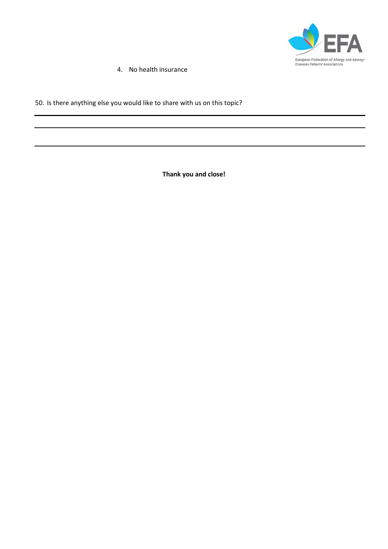

4. No health insurance

# 50. Is there anything else you would like to share with us on this topic?

**Thank you and close!**